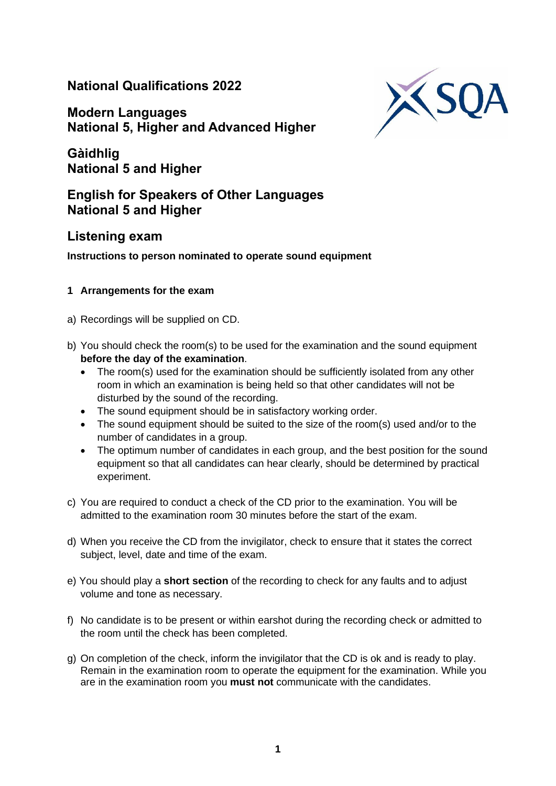# **National Qualifications 2022**

**Modern Languages National 5, Higher and Advanced Higher**



**Gàidhlig National 5 and Higher**

## **English for Speakers of Other Languages National 5 and Higher**

### **Listening exam**

### **Instructions to person nominated to operate sound equipment**

### **1 Arrangements for the exam**

- a) Recordings will be supplied on CD.
- b) You should check the room(s) to be used for the examination and the sound equipment **before the day of the examination**.
	- The room(s) used for the examination should be sufficiently isolated from any other room in which an examination is being held so that other candidates will not be disturbed by the sound of the recording.
	- The sound equipment should be in satisfactory working order.
	- The sound equipment should be suited to the size of the room(s) used and/or to the number of candidates in a group.
	- The optimum number of candidates in each group, and the best position for the sound equipment so that all candidates can hear clearly, should be determined by practical experiment.
- c) You are required to conduct a check of the CD prior to the examination. You will be admitted to the examination room 30 minutes before the start of the exam.
- d) When you receive the CD from the invigilator, check to ensure that it states the correct subject, level, date and time of the exam.
- e) You should play a **short section** of the recording to check for any faults and to adjust volume and tone as necessary.
- f) No candidate is to be present or within earshot during the recording check or admitted to the room until the check has been completed.
- g) On completion of the check, inform the invigilator that the CD is ok and is ready to play. Remain in the examination room to operate the equipment for the examination. While you are in the examination room you **must not** communicate with the candidates.